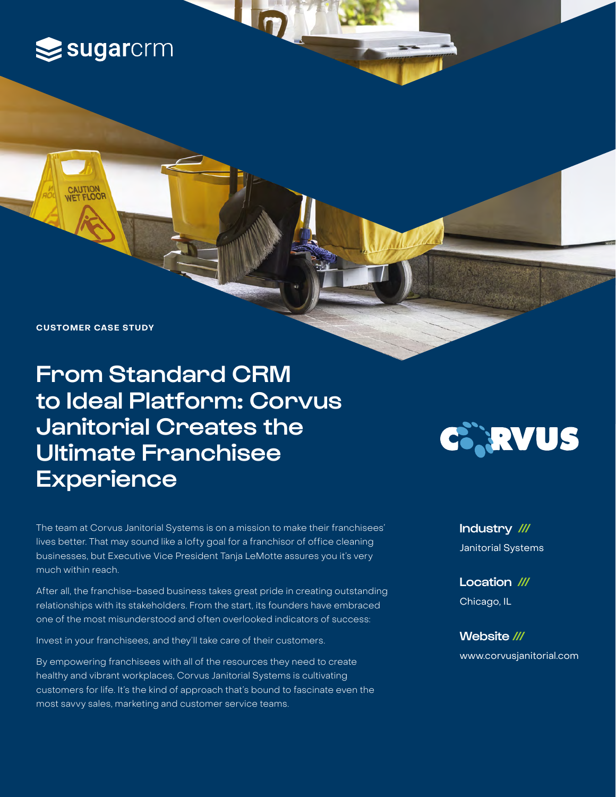

**CASE STUDY CUSTOMER CASE STUDY**

# From Standard CRM to Ideal Platform: Corvus Janitorial Creates the Ultimate Franchisee **Experience**

The team at Corvus Janitorial Systems is on a mission to make their franchisees' lives better. That may sound like a lofty goal for a franchisor of office cleaning businesses, but Executive Vice President Tanja LeMotte assures you it's very much within reach.

After all, the franchise-based business takes great pride in creating outstanding relationships with its stakeholders. From the start, its founders have embraced one of the most misunderstood and often overlooked indicators of success:

Invest in your franchisees, and they'll take care of their customers.

By empowering franchisees with all of the resources they need to create healthy and vibrant workplaces, Corvus Janitorial Systems is cultivating customers for life. It's the kind of approach that's bound to fascinate even the most savvy sales, marketing and customer service teams.



Industry /// Janitorial Systems

Location /// Chicago, IL

Website /// [www.](http://www.backcountry.com)corvusjanitorial.com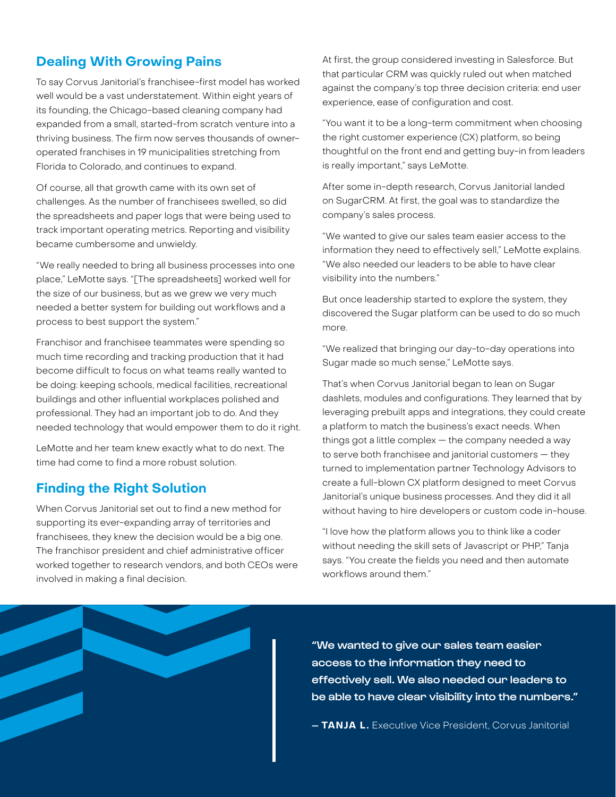# **Dealing With Growing Pains**

To say Corvus Janitorial's franchisee-first model has worked well would be a vast understatement. Within eight years of its founding, the Chicago-based cleaning company had expanded from a small, started-from scratch venture into a thriving business. The firm now serves thousands of owneroperated franchises in 19 municipalities stretching from Florida to Colorado, and continues to expand.

Of course, all that growth came with its own set of challenges. As the number of franchisees swelled, so did the spreadsheets and paper logs that were being used to track important operating metrics. Reporting and visibility became cumbersome and unwieldy.

"We really needed to bring all business processes into one place," LeMotte says. "[The spreadsheets] worked well for the size of our business, but as we grew we very much needed a better system for building out workflows and a process to best support the system."

Franchisor and franchisee teammates were spending so much time recording and tracking production that it had become difficult to focus on what teams really wanted to be doing: keeping schools, medical facilities, recreational buildings and other influential workplaces polished and professional. They had an important job to do. And they needed technology that would empower them to do it right.

LeMotte and her team knew exactly what to do next. The time had come to find a more robust solution.

## **Finding the Right Solution**

When Corvus Janitorial set out to find a new method for supporting its ever-expanding array of territories and franchisees, they knew the decision would be a big one. The franchisor president and chief administrative officer worked together to research vendors, and both CEOs were involved in making a final decision.

At first, the group considered investing in Salesforce. But that particular CRM was quickly ruled out when matched against the company's top three decision criteria: end user experience, ease of configuration and cost.

"You want it to be a long-term commitment when choosing the right customer experience (CX) platform, so being thoughtful on the front end and getting buy-in from leaders is really important," says LeMotte.

After some in-depth research, Corvus Janitorial landed on SugarCRM. At first, the goal was to standardize the company's sales process.

"We wanted to give our sales team easier access to the information they need to effectively sell," LeMotte explains. "We also needed our leaders to be able to have clear visibility into the numbers."

But once leadership started to explore the system, they discovered the Sugar platform can be used to do so much more.

"We realized that bringing our day-to-day operations into Sugar made so much sense," LeMotte says.

That's when Corvus Janitorial began to lean on Sugar dashlets, modules and configurations. They learned that by leveraging prebuilt apps and integrations, they could create a platform to match the business's exact needs. When things got a little complex — the company needed a way to serve both franchisee and janitorial customers — they turned to implementation partner Technology Advisors to create a full-blown CX platform designed to meet Corvus Janitorial's unique business processes. And they did it all without having to hire developers or custom code in-house.

"I love how the platform allows you to think like a coder without needing the skill sets of Javascript or PHP," Tanja says. "You create the fields you need and then automate workflows around them."

"We wanted to give our sales team easier access to the information they need to effectively sell. We also needed our leaders to be able to have clear visibility into the numbers."

**— TANJA L.** Executive Vice President, Corvus Janitorial